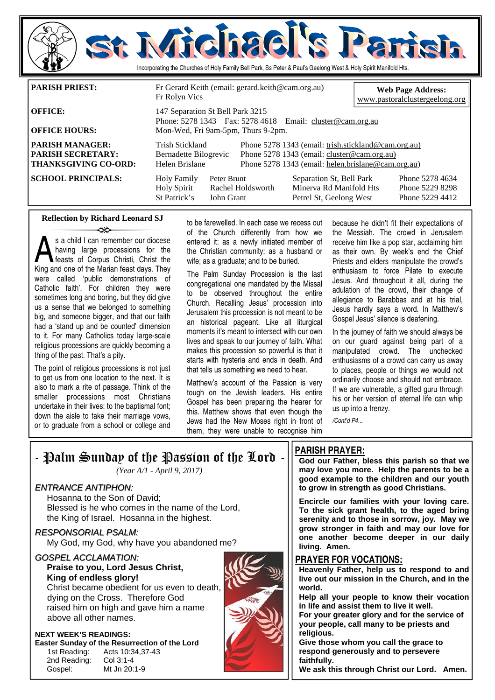

| <b>OFFICE HOURS:</b>                                                              | Mon-Wed, Fri 9am-5pm, Thurs 9-2pm.                         |                           |                   | THONC, $JZ/O$ 1949 – Fax, $JZ/O$ 4010 – Email, Clustel weally read-                                                                                      |                                                       |
|-----------------------------------------------------------------------------------|------------------------------------------------------------|---------------------------|-------------------|----------------------------------------------------------------------------------------------------------------------------------------------------------|-------------------------------------------------------|
| <b>PARISH MANAGER:</b><br><b>PARISH SECRETARY:</b><br><b>THANKSGIVING CO-ORD:</b> | Trish Stickland<br>Bernadette Bilogrevic<br>Helen Brislane |                           |                   | Phone 5278 1343 (email: trish.stickland@cam.org.au)<br>Phone 5278 1343 (email: cluster@cam.org.au)<br>Phone 5278 1343 (email: helen.brislane@cam.org.au) |                                                       |
| <b>SCHOOL PRINCIPALS:</b>                                                         | <b>Holy Family</b><br><b>Holy Spirit</b><br>St Patrick's   | Peter Brunt<br>John Grant | Rachel Holdsworth | Separation St, Bell Park<br>Minerva Rd Manifold Hts<br>Petrel St, Geelong West                                                                           | Phone 5278 4634<br>Phone 5229 8298<br>Phone 5229 4412 |

#### **Reflection by Richard Leonard SJ**  ينبد

S a child I can remember our diocese<br>having large processions for the<br>king and one of the Marian feast days. They having large processions for the feasts of Corpus Christi, Christ the King and one of the Marian feast days. They were called 'public demonstrations of Catholic faith'. For children they were sometimes long and boring, but they did give us a sense that we belonged to something big, and someone bigger, and that our faith had a 'stand up and be counted' dimension to it. For many Catholics today large-scale religious processions are quickly becoming a thing of the past. That's a pity.

The point of religious processions is not just to get us from one location to the next. It is also to mark a rite of passage. Think of the smaller processions most Christians undertake in their lives: to the baptismal font; down the aisle to take their marriage vows, or to graduate from a school or college and to be farewelled. In each case we recess out of the Church differently from how we entered it: as a newly initiated member of the Christian community; as a husband or wife; as a graduate; and to be buried.

The Palm Sunday Procession is the last congregational one mandated by the Missal to be observed throughout the entire Church. Recalling Jesus' procession into Jerusalem this procession is not meant to be an historical pageant. Like all liturgical moments it's meant to intersect with our own lives and speak to our journey of faith. What makes this procession so powerful is that it starts with hysteria and ends in death. And that tells us something we need to hear.

Matthew's account of the Passion is very tough on the Jewish leaders. His entire Gospel has been preparing the hearer for this. Matthew shows that even though the Jews had the New Moses right in front of them, they were unable to recognise him

because he didn't fit their expectations of the Messiah. The crowd in Jerusalem receive him like a pop star, acclaiming him as their own. By week's end the Chief Priests and elders manipulate the crowd's enthusiasm to force Pilate to execute Jesus. And throughout it all, during the adulation of the crowd, their change of allegiance to Barabbas and at his trial, Jesus hardly says a word. In Matthew's Gospel Jesus' silence is deafening.

In the journey of faith we should always be on our guard against being part of a manipulated crowd. The unchecked enthusiasms of a crowd can carry us away to places, people or things we would not ordinarily choose and should not embrace. If we are vulnerable, a gifted guru through his or her version of eternal life can whip us up into a frenzy.

*/Cont'd P4...* 

### $-$  Palm Sunday of the Passion of the Lord  $-$

*(Year A/1 - April 9, 2017)* 

### ENTRANCE ANTIPHON:

 Hosanna to the Son of David; Blessed is he who comes in the name of the Lord, the King of Israel. Hosanna in the highest.

RESPONSORIAL PSALM:

My God, my God, why have you abandoned me?

### GOSPEL ACCLAMATION:

### **Praise to you, Lord Jesus Christ, King of endless glory!**

Christ became obedient for us even to death, dying on the Cross. Therefore God raised him on high and gave him a name above all other names.

### **NEXT WEEK'S READINGS:**

|              | Easter Sunday of the Resurrection of the Lord |
|--------------|-----------------------------------------------|
| 1st Reading: | Acts 10:34.37-43                              |
| 2nd Reading: | $Col 3:1-4$                                   |
| Gospel:      | Mt Jn 20:1-9                                  |



### **PARISH PRAYER:**

**God our Father, bless this parish so that we may love you more. Help the parents to be a good example to the children and our youth to grow in strength as good Christians.** 

**Encircle our families with your loving care. To the sick grant health, to the aged bring serenity and to those in sorrow, joy. May we grow stronger in faith and may our love for one another become deeper in our daily living. Amen.** 

### **PRAYER FOR VOCATIONS:**

**Heavenly Father, help us to respond to and live out our mission in the Church, and in the world.** 

**Help all your people to know their vocation in life and assist them to live it well.** 

**For your greater glory and for the service of your people, call many to be priests and religious.** 

**Give those whom you call the grace to respond generously and to persevere faithfully.** 

**We ask this through Christ our Lord. Amen.**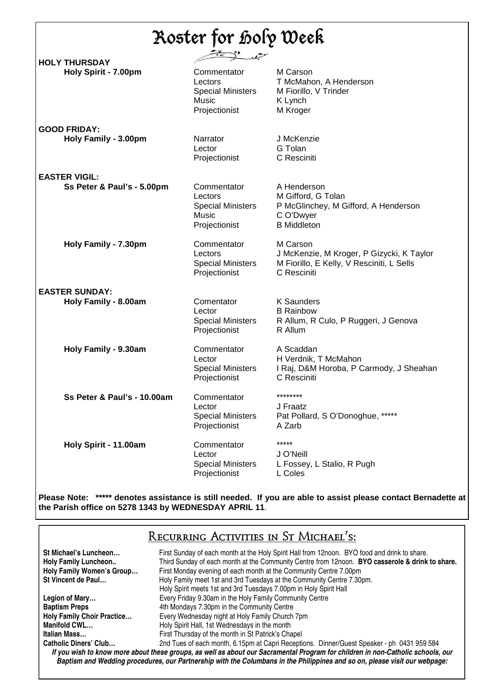# Roster for holy Week

| <b>HOLY THURSDAY</b>                               |                                                                                     |                                                                                                                   |
|----------------------------------------------------|-------------------------------------------------------------------------------------|-------------------------------------------------------------------------------------------------------------------|
| Holy Spirit - 7.00pm                               | Commentator<br>Lectors<br><b>Special Ministers</b><br><b>Music</b><br>Projectionist | M Carson<br>T McMahon, A Henderson<br>M Fiorillo, V Trinder<br>K Lynch<br>M Kroger                                |
| <b>GOOD FRIDAY:</b><br>Holy Family - 3.00pm        | Narrator<br>Lector<br>Projectionist                                                 | J McKenzie<br>G Tolan<br>C Resciniti                                                                              |
| <b>EASTER VIGIL:</b><br>Ss Peter & Paul's - 5.00pm | Commentator<br>Lectors<br><b>Special Ministers</b><br>Music<br>Projectionist        | A Henderson<br>M Gifford, G Tolan<br>P McGlinchey, M Gifford, A Henderson<br>C O'Dwyer<br><b>B</b> Middleton      |
| Holy Family - 7.30pm                               | Commentator<br>Lectors<br><b>Special Ministers</b><br>Projectionist                 | M Carson<br>J McKenzie, M Kroger, P Gizycki, K Taylor<br>M Fiorillo, E Kelly, V Resciniti, L Sells<br>C Resciniti |
| <b>EASTER SUNDAY:</b><br>Holy Family - 8.00am      | Comentator<br>Lector<br><b>Special Ministers</b><br>Projectionist                   | <b>K</b> Saunders<br><b>B</b> Rainbow<br>R Allum, R Culo, P Ruggeri, J Genova<br>R Allum                          |
| Holy Family - 9.30am                               | Commentator<br>Lector<br><b>Special Ministers</b><br>Projectionist                  | A Scaddan<br>H Verdnik, T McMahon<br>I Raj, D&M Horoba, P Carmody, J Sheahan<br>C Resciniti                       |
| Ss Peter & Paul's - 10.00am                        | Commentator<br>Lector<br><b>Special Ministers</b><br>Projectionist                  | ********<br>J Fraatz<br>Pat Pollard, S O'Donoghue, *****<br>A Zarb                                                |
| Holy Spirit - 11.00am                              | Commentator<br>Lector<br><b>Special Ministers</b><br>Projectionist                  | *****<br>J O'Neill<br>L Fossey, L Stalio, R Pugh<br>L Coles                                                       |

**Please Note: \*\*\*\*\* denotes assistance is still needed. If you are able to assist please contact Bernadette at the Parish office on 5278 1343 by WEDNESDAY APRIL 11**.

### RECURRING ACTIVITIES IN ST MICHAEL'S:

| St Michael's Luncheon             | First Sunday of each month at the Holy Spirit Hall from 12noon. BYO food and drink to share.                                    |
|-----------------------------------|---------------------------------------------------------------------------------------------------------------------------------|
| <b>Holy Family Luncheon</b>       | Third Sunday of each month at the Community Centre from 12noon. BYO casserole & drink to share.                                 |
| Holy Family Women's Group         | First Monday evening of each month at the Community Centre 7.00pm                                                               |
| St Vincent de Paul                | Holy Family meet 1st and 3rd Tuesdays at the Community Centre 7.30pm.                                                           |
|                                   | Holy Spirit meets 1st and 3rd Tuesdays 7.00pm in Holy Spirit Hall                                                               |
| Legion of Mary                    | Every Friday 9.30am in the Holy Family Community Centre                                                                         |
| <b>Baptism Preps</b>              | 4th Mondays 7.30pm in the Community Centre                                                                                      |
| <b>Holy Family Choir Practice</b> | Every Wednesday night at Holy Family Church 7pm                                                                                 |
| <b>Manifold CWL</b>               | Holy Spirit Hall, 1st Wednesdays in the month                                                                                   |
| Italian Mass                      | First Thursday of the month in St Patrick's Chapel                                                                              |
| <b>Catholic Diners' Club</b>      | 2nd Tues of each month, 6.15pm at Capri Receptions. Dinner/Guest Speaker - ph 0431 959 584                                      |
|                                   | If you wish to know more about these groups, as well as about our Sacramental Program for children in non-Catholic schools, our |
|                                   | Baptism and Wedding procedures, our Partnership with the Columbans in the Philippines and so on, please visit our webpage:      |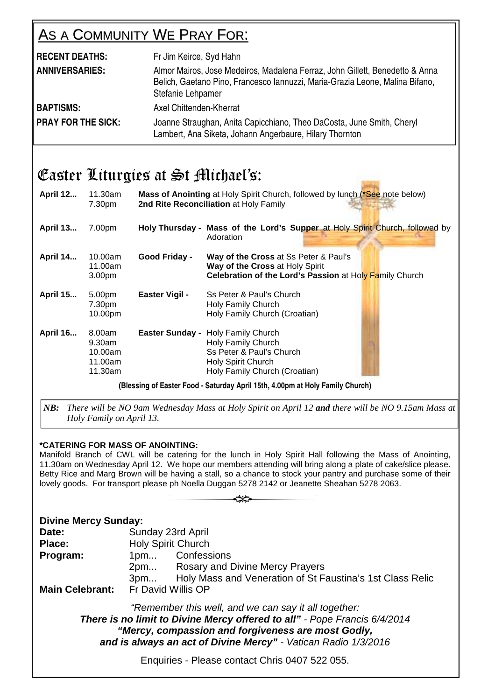# AS A COMMUNITY WE PRAY FOR:

| <b>RECENT DEATHS:</b>     | Fr Jim Keirce, Syd Hahn                                                                                                                                                           |
|---------------------------|-----------------------------------------------------------------------------------------------------------------------------------------------------------------------------------|
| <b>ANNIVERSARIES:</b>     | Almor Mairos, Jose Medeiros, Madalena Ferraz, John Gillett, Benedetto & Anna<br>Belich, Gaetano Pino, Francesco Iannuzzi, Maria-Grazia Leone, Malina Bifano,<br>Stefanie Lehpamer |
| <b>BAPTISMS:</b>          | Axel Chittenden-Kherrat                                                                                                                                                           |
| <b>PRAY FOR THE SICK:</b> | Joanne Straughan, Anita Capicchiano, Theo DaCosta, June Smith, Cheryl<br>Lambert, Ana Siketa, Johann Angerbaure, Hilary Thornton                                                  |

## Easter Liturgies at St Michael's:

| <b>April 12</b>                                                               | 11.30am<br>7.30pm                                    | <b>Mass of Anointing</b> at Holy Spirit Church, followed by lunch (*See note below)<br>2nd Rite Reconciliation at Holy Family |                                                                                                                                                           |  |
|-------------------------------------------------------------------------------|------------------------------------------------------|-------------------------------------------------------------------------------------------------------------------------------|-----------------------------------------------------------------------------------------------------------------------------------------------------------|--|
| <b>April 13</b>                                                               | 7.00pm                                               |                                                                                                                               | Holy Thursday - Mass of the Lord's Supper at Holy Spirit Church, followed by<br>Adoration                                                                 |  |
| <b>April 14</b>                                                               | 10.00am<br>11.00am<br>3.00pm                         | Good Friday -                                                                                                                 | Way of the Cross at Ss Peter & Paul's<br>Way of the Cross at Holy Spirit<br>Celebration of the Lord's Passion at Holy Family Church                       |  |
| <b>April 15</b>                                                               | 5.00pm<br>7.30pm<br>10.00pm                          | <b>Easter Vigil -</b>                                                                                                         | Ss Peter & Paul's Church<br>Holy Family Church<br>Holy Family Church (Croatian)                                                                           |  |
| <b>April 16</b>                                                               | 8.00am<br>$9.30$ am<br>10.00am<br>11.00am<br>11.30am |                                                                                                                               | <b>Easter Sunday - Holy Family Church</b><br>Holy Family Church<br>Ss Peter & Paul's Church<br><b>Holy Spirit Church</b><br>Holy Family Church (Croatian) |  |
| (Blessing of Easter Food - Saturday April 15th, 4.00pm at Holy Family Church) |                                                      |                                                                                                                               |                                                                                                                                                           |  |

*NB: There will be NO 9am Wednesday Mass at Holy Spirit on April 12 and there will be NO 9.15am Mass at Holy Family on April 13.* 

### **\*CATERING FOR MASS OF ANOINTING:**

Manifold Branch of CWL will be catering for the lunch in Holy Spirit Hall following the Mass of Anointing, 11.30am on Wednesday April 12. We hope our members attending will bring along a plate of cake/slice please. Betty Rice and Marg Brown will be having a stall, so a chance to stock your pantry and purchase some of their lovely goods. For transport please ph Noella Duggan 5278 2142 or Jeanette Sheahan 5278 2063.

| ≖ |  |
|---|--|

| <b>Divine Mercy Sunday:</b>                                               |                                                                  |  |  |
|---------------------------------------------------------------------------|------------------------------------------------------------------|--|--|
| Date:                                                                     | Sunday 23rd April                                                |  |  |
| Place:                                                                    | <b>Holy Spirit Church</b>                                        |  |  |
| Program:                                                                  | 1pm Confessions                                                  |  |  |
|                                                                           | 2pm Rosary and Divine Mercy Prayers                              |  |  |
|                                                                           | Holy Mass and Veneration of St Faustina's 1st Class Relic<br>3pm |  |  |
| <b>Main Celebrant:</b>                                                    | Fr David Willis OP                                               |  |  |
| "Remember this well, and we can say it all together:                      |                                                                  |  |  |
| There is no limit to Divine Mercy offered to all" - Pope Francis 6/4/2014 |                                                                  |  |  |
| "Mercy, compassion and forgiveness are most Godly,                        |                                                                  |  |  |
| and is always an act of Divine Mercy" - Vatican Radio 1/3/2016            |                                                                  |  |  |
|                                                                           | Enquiries - Please contact Chris 0407 522 055.                   |  |  |